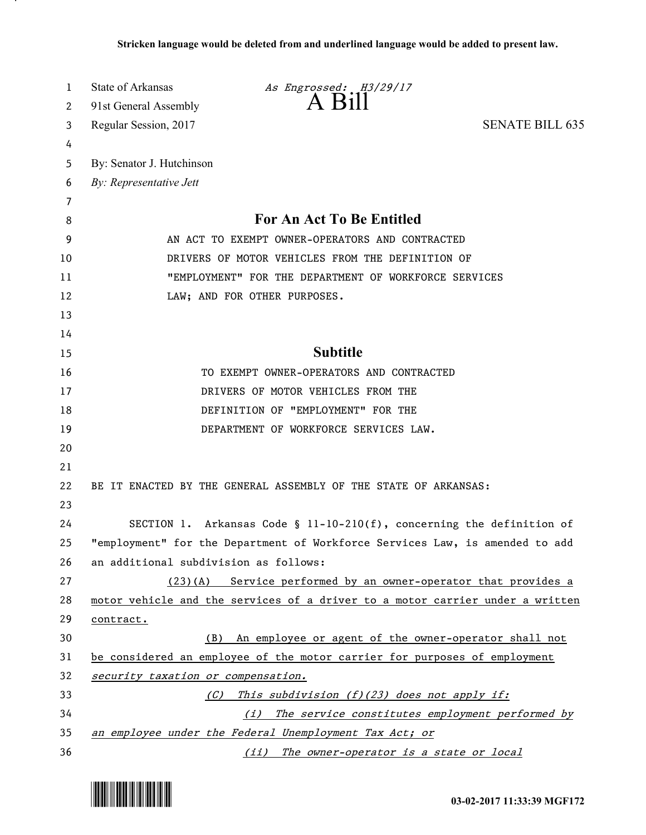| 1              | State of Arkansas<br>As Engrossed: H3/29/17                                                             |                        |
|----------------|---------------------------------------------------------------------------------------------------------|------------------------|
| 2              | $A$ Bill<br>91st General Assembly                                                                       |                        |
| 3              | Regular Session, 2017                                                                                   | <b>SENATE BILL 635</b> |
| 4              |                                                                                                         |                        |
| 5              | By: Senator J. Hutchinson                                                                               |                        |
| 6              | By: Representative Jett                                                                                 |                        |
| $\overline{7}$ |                                                                                                         |                        |
| 8              | For An Act To Be Entitled                                                                               |                        |
| 9              | AN ACT TO EXEMPT OWNER-OPERATORS AND CONTRACTED                                                         |                        |
| 10             | DRIVERS OF MOTOR VEHICLES FROM THE DEFINITION OF                                                        |                        |
| 11             | "EMPLOYMENT" FOR THE DEPARTMENT OF WORKFORCE SERVICES                                                   |                        |
| 12             | LAW; AND FOR OTHER PURPOSES.                                                                            |                        |
| 13             |                                                                                                         |                        |
| 14             |                                                                                                         |                        |
| 15             | <b>Subtitle</b>                                                                                         |                        |
| 16             | TO EXEMPT OWNER-OPERATORS AND CONTRACTED                                                                |                        |
| 17             | DRIVERS OF MOTOR VEHICLES FROM THE                                                                      |                        |
| 18             | DEFINITION OF "EMPLOYMENT" FOR THE                                                                      |                        |
| 19             | DEPARTMENT OF WORKFORCE SERVICES LAW.                                                                   |                        |
| 20             |                                                                                                         |                        |
| 21             |                                                                                                         |                        |
| 22             | BE IT ENACTED BY THE GENERAL ASSEMBLY OF THE STATE OF ARKANSAS:                                         |                        |
| 23             |                                                                                                         |                        |
| 24             | SECTION 1. Arkansas Code § 11-10-210(f), concerning the definition of                                   |                        |
| 25<br>26       | "employment" for the Department of Workforce Services Law, is amended to add                            |                        |
| 27             | an additional subdivision as follows:<br>(23)(A) Service performed by an owner-operator that provides a |                        |
| 28             | motor vehicle and the services of a driver to a motor carrier under a written                           |                        |
| 29             | contract.                                                                                               |                        |
| 30             | (B) An employee or agent of the owner-operator shall not                                                |                        |
| 31             | be considered an employee of the motor carrier for purposes of employment                               |                        |
| 32             | security taxation or compensation.                                                                      |                        |
| 33             | This subdivision (f)(23) does not apply if:<br>(C)                                                      |                        |
| 34             | (i) The service constitutes employment performed by                                                     |                        |
| 35             | an employee under the Federal Unemployment Tax Act; or                                                  |                        |
| 36             | (ii) The owner-operator is a state or local                                                             |                        |



.